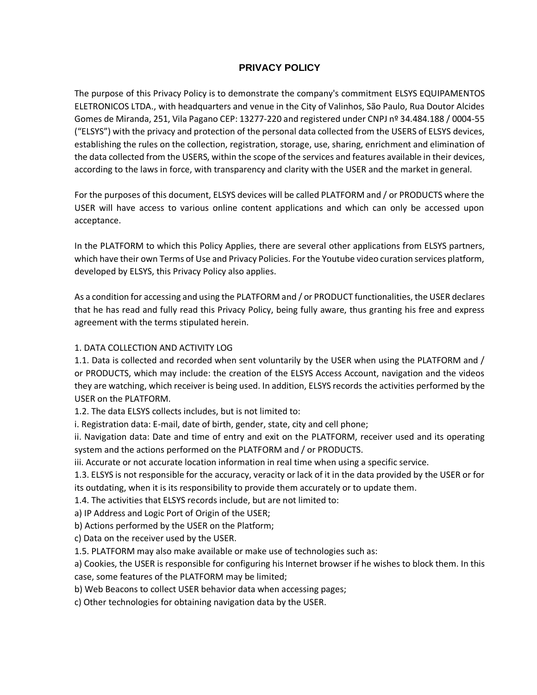# **PRIVACY POLICY**

The purpose of this Privacy Policy is to demonstrate the company's commitment ELSYS EQUIPAMENTOS ELETRONICOS LTDA., with headquarters and venue in the City of Valinhos, São Paulo, Rua Doutor Alcides Gomes de Miranda, 251, Vila Pagano CEP: 13277-220 and registered under CNPJ nº 34.484.188 / 0004-55 ("ELSYS") with the privacy and protection of the personal data collected from the USERS of ELSYS devices, establishing the rules on the collection, registration, storage, use, sharing, enrichment and elimination of the data collected from the USERS, within the scope of the services and features available in their devices, according to the laws in force, with transparency and clarity with the USER and the market in general.

For the purposes of this document, ELSYS devices will be called PLATFORM and / or PRODUCTS where the USER will have access to various online content applications and which can only be accessed upon acceptance.

In the PLATFORM to which this Policy Applies, there are several other applications from ELSYS partners, which have their own Terms of Use and Privacy Policies. For the Youtube video curation services platform, developed by ELSYS, this Privacy Policy also applies.

As a condition for accessing and using the PLATFORM and / or PRODUCT functionalities, the USER declares that he has read and fully read this Privacy Policy, being fully aware, thus granting his free and express agreement with the terms stipulated herein.

#### 1. DATA COLLECTION AND ACTIVITY LOG

1.1. Data is collected and recorded when sent voluntarily by the USER when using the PLATFORM and / or PRODUCTS, which may include: the creation of the ELSYS Access Account, navigation and the videos they are watching, which receiver is being used. In addition, ELSYS records the activities performed by the USER on the PLATFORM.

1.2. The data ELSYS collects includes, but is not limited to:

i. Registration data: E-mail, date of birth, gender, state, city and cell phone;

ii. Navigation data: Date and time of entry and exit on the PLATFORM, receiver used and its operating system and the actions performed on the PLATFORM and / or PRODUCTS.

iii. Accurate or not accurate location information in real time when using a specific service.

1.3. ELSYS is not responsible for the accuracy, veracity or lack of it in the data provided by the USER or for its outdating, when it is its responsibility to provide them accurately or to update them.

1.4. The activities that ELSYS records include, but are not limited to:

a) IP Address and Logic Port of Origin of the USER;

b) Actions performed by the USER on the Platform;

c) Data on the receiver used by the USER.

1.5. PLATFORM may also make available or make use of technologies such as:

a) Cookies, the USER is responsible for configuring his Internet browser if he wishes to block them. In this case, some features of the PLATFORM may be limited;

b) Web Beacons to collect USER behavior data when accessing pages;

c) Other technologies for obtaining navigation data by the USER.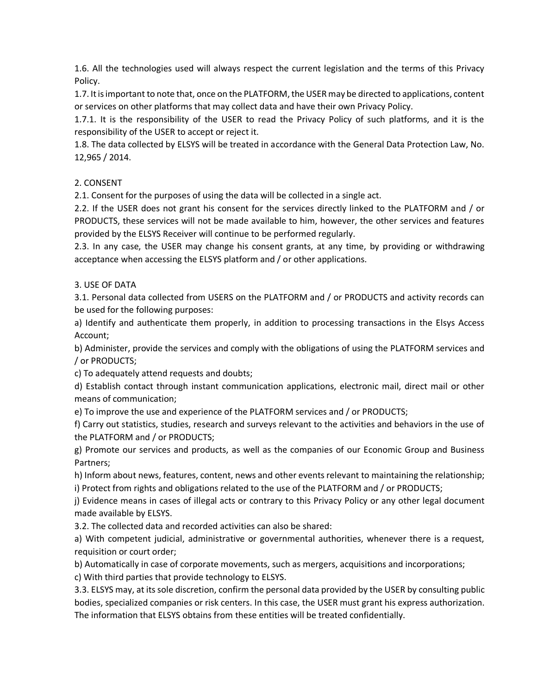1.6. All the technologies used will always respect the current legislation and the terms of this Privacy Policy.

1.7. It is important to note that, once on the PLATFORM, the USER may be directed to applications, content or services on other platforms that may collect data and have their own Privacy Policy.

1.7.1. It is the responsibility of the USER to read the Privacy Policy of such platforms, and it is the responsibility of the USER to accept or reject it.

1.8. The data collected by ELSYS will be treated in accordance with the General Data Protection Law, No. 12,965 / 2014.

## 2. CONSENT

2.1. Consent for the purposes of using the data will be collected in a single act.

2.2. If the USER does not grant his consent for the services directly linked to the PLATFORM and / or PRODUCTS, these services will not be made available to him, however, the other services and features provided by the ELSYS Receiver will continue to be performed regularly.

2.3. In any case, the USER may change his consent grants, at any time, by providing or withdrawing acceptance when accessing the ELSYS platform and / or other applications.

### 3. USE OF DATA

3.1. Personal data collected from USERS on the PLATFORM and / or PRODUCTS and activity records can be used for the following purposes:

a) Identify and authenticate them properly, in addition to processing transactions in the Elsys Access Account;

b) Administer, provide the services and comply with the obligations of using the PLATFORM services and / or PRODUCTS;

c) To adequately attend requests and doubts;

d) Establish contact through instant communication applications, electronic mail, direct mail or other means of communication;

e) To improve the use and experience of the PLATFORM services and / or PRODUCTS;

f) Carry out statistics, studies, research and surveys relevant to the activities and behaviors in the use of the PLATFORM and / or PRODUCTS;

g) Promote our services and products, as well as the companies of our Economic Group and Business Partners;

h) Inform about news, features, content, news and other events relevant to maintaining the relationship; i) Protect from rights and obligations related to the use of the PLATFORM and / or PRODUCTS;

j) Evidence means in cases of illegal acts or contrary to this Privacy Policy or any other legal document made available by ELSYS.

3.2. The collected data and recorded activities can also be shared:

a) With competent judicial, administrative or governmental authorities, whenever there is a request, requisition or court order;

b) Automatically in case of corporate movements, such as mergers, acquisitions and incorporations;

c) With third parties that provide technology to ELSYS.

3.3. ELSYS may, at its sole discretion, confirm the personal data provided by the USER by consulting public bodies, specialized companies or risk centers. In this case, the USER must grant his express authorization. The information that ELSYS obtains from these entities will be treated confidentially.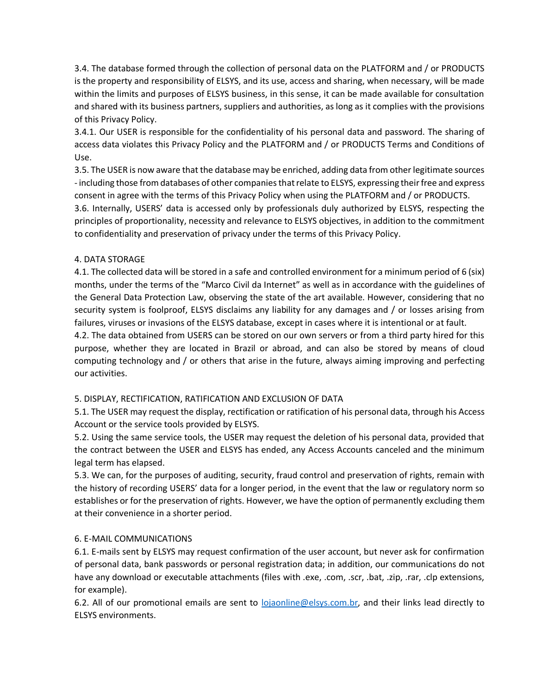3.4. The database formed through the collection of personal data on the PLATFORM and / or PRODUCTS is the property and responsibility of ELSYS, and its use, access and sharing, when necessary, will be made within the limits and purposes of ELSYS business, in this sense, it can be made available for consultation and shared with its business partners, suppliers and authorities, as long as it complies with the provisions of this Privacy Policy.

3.4.1. Our USER is responsible for the confidentiality of his personal data and password. The sharing of access data violates this Privacy Policy and the PLATFORM and / or PRODUCTS Terms and Conditions of Use.

3.5. The USER is now aware that the database may be enriched, adding data from other legitimate sources -including those from databases of other companies that relate to ELSYS, expressing their free and express consent in agree with the terms of this Privacy Policy when using the PLATFORM and / or PRODUCTS.

3.6. Internally, USERS' data is accessed only by professionals duly authorized by ELSYS, respecting the principles of proportionality, necessity and relevance to ELSYS objectives, in addition to the commitment to confidentiality and preservation of privacy under the terms of this Privacy Policy.

### 4. DATA STORAGE

4.1. The collected data will be stored in a safe and controlled environment for a minimum period of 6 (six) months, under the terms of the "Marco Civil da Internet" as well as in accordance with the guidelines of the General Data Protection Law, observing the state of the art available. However, considering that no security system is foolproof, ELSYS disclaims any liability for any damages and / or losses arising from failures, viruses or invasions of the ELSYS database, except in cases where it is intentional or at fault.

4.2. The data obtained from USERS can be stored on our own servers or from a third party hired for this purpose, whether they are located in Brazil or abroad, and can also be stored by means of cloud computing technology and / or others that arise in the future, always aiming improving and perfecting our activities.

### 5. DISPLAY, RECTIFICATION, RATIFICATION AND EXCLUSION OF DATA

5.1. The USER may request the display, rectification or ratification of his personal data, through his Access Account or the service tools provided by ELSYS.

5.2. Using the same service tools, the USER may request the deletion of his personal data, provided that the contract between the USER and ELSYS has ended, any Access Accounts canceled and the minimum legal term has elapsed.

5.3. We can, for the purposes of auditing, security, fraud control and preservation of rights, remain with the history of recording USERS' data for a longer period, in the event that the law or regulatory norm so establishes or for the preservation of rights. However, we have the option of permanently excluding them at their convenience in a shorter period.

### 6. E-MAIL COMMUNICATIONS

6.1. E-mails sent by ELSYS may request confirmation of the user account, but never ask for confirmation of personal data, bank passwords or personal registration data; in addition, our communications do not have any download or executable attachments (files with .exe, .com, .scr, .bat, .zip, .rar, .clp extensions, for example).

6.2. All of our promotional emails are sent to [lojaonline@elsys.com.br,](mailto:lojaonline@elsys.com.br) and their links lead directly to ELSYS environments.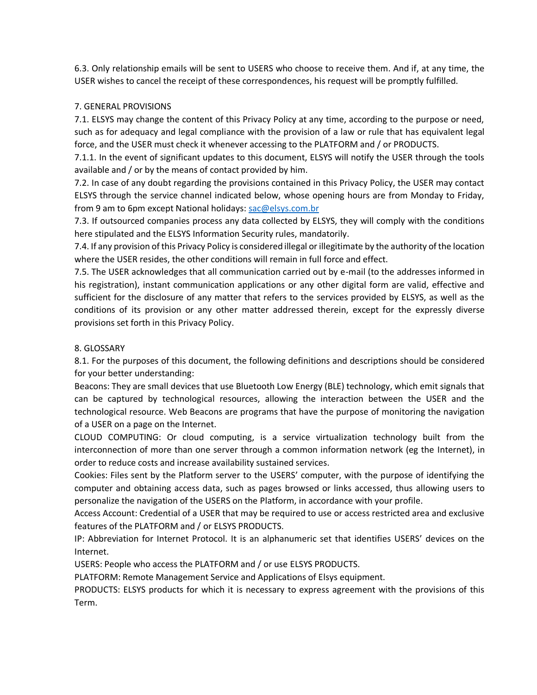6.3. Only relationship emails will be sent to USERS who choose to receive them. And if, at any time, the USER wishes to cancel the receipt of these correspondences, his request will be promptly fulfilled.

#### 7. GENERAL PROVISIONS

7.1. ELSYS may change the content of this Privacy Policy at any time, according to the purpose or need, such as for adequacy and legal compliance with the provision of a law or rule that has equivalent legal force, and the USER must check it whenever accessing to the PLATFORM and / or PRODUCTS.

7.1.1. In the event of significant updates to this document, ELSYS will notify the USER through the tools available and / or by the means of contact provided by him.

7.2. In case of any doubt regarding the provisions contained in this Privacy Policy, the USER may contact ELSYS through the service channel indicated below, whose opening hours are from Monday to Friday, from 9 am to 6pm except National holidays: [sac@elsys.com.br](mailto:sac@elsys.com.br)

7.3. If outsourced companies process any data collected by ELSYS, they will comply with the conditions here stipulated and the ELSYS Information Security rules, mandatorily.

7.4. If any provision of this Privacy Policy is considered illegal or illegitimate by the authority of the location where the USER resides, the other conditions will remain in full force and effect.

7.5. The USER acknowledges that all communication carried out by e-mail (to the addresses informed in his registration), instant communication applications or any other digital form are valid, effective and sufficient for the disclosure of any matter that refers to the services provided by ELSYS, as well as the conditions of its provision or any other matter addressed therein, except for the expressly diverse provisions set forth in this Privacy Policy.

#### 8. GLOSSARY

8.1. For the purposes of this document, the following definitions and descriptions should be considered for your better understanding:

Beacons: They are small devices that use Bluetooth Low Energy (BLE) technology, which emit signals that can be captured by technological resources, allowing the interaction between the USER and the technological resource. Web Beacons are programs that have the purpose of monitoring the navigation of a USER on a page on the Internet.

CLOUD COMPUTING: Or cloud computing, is a service virtualization technology built from the interconnection of more than one server through a common information network (eg the Internet), in order to reduce costs and increase availability sustained services.

Cookies: Files sent by the Platform server to the USERS' computer, with the purpose of identifying the computer and obtaining access data, such as pages browsed or links accessed, thus allowing users to personalize the navigation of the USERS on the Platform, in accordance with your profile.

Access Account: Credential of a USER that may be required to use or access restricted area and exclusive features of the PLATFORM and / or ELSYS PRODUCTS.

IP: Abbreviation for Internet Protocol. It is an alphanumeric set that identifies USERS' devices on the Internet.

USERS: People who access the PLATFORM and / or use ELSYS PRODUCTS.

PLATFORM: Remote Management Service and Applications of Elsys equipment.

PRODUCTS: ELSYS products for which it is necessary to express agreement with the provisions of this Term.